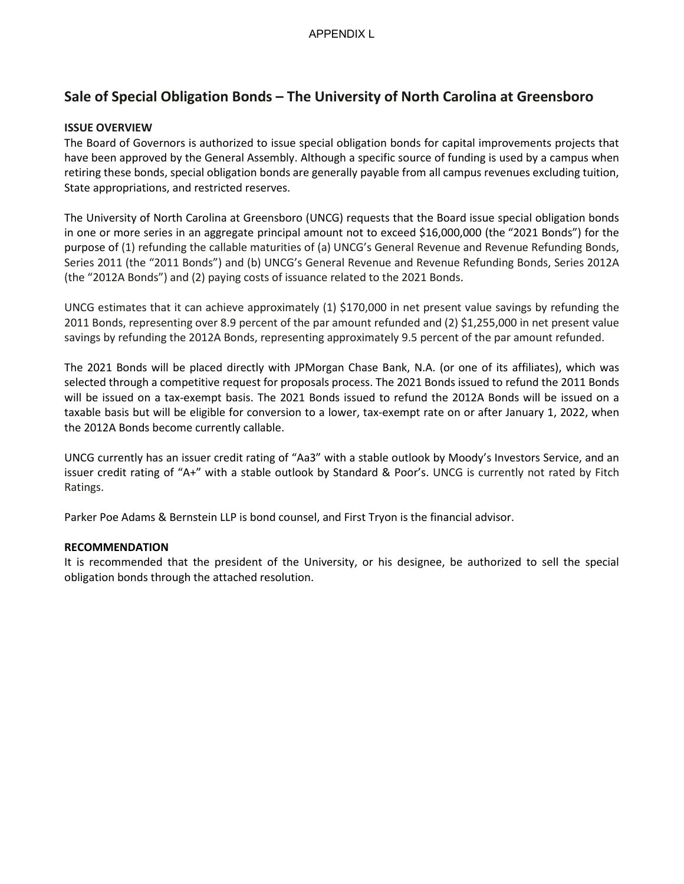# **Sale of Special Obligation Bonds – The University of North Carolina at Greensboro**

# **ISSUE OVERVIEW**

The Board of Governors is authorized to issue special obligation bonds for capital improvements projects that have been approved by the General Assembly. Although a specific source of funding is used by a campus when retiring these bonds, special obligation bonds are generally payable from all campus revenues excluding tuition, State appropriations, and restricted reserves.

The University of North Carolina at Greensboro (UNCG) requests that the Board issue special obligation bonds in one or more series in an aggregate principal amount not to exceed \$16,000,000 (the "2021 Bonds") for the purpose of (1) refunding the callable maturities of (a) UNCG's General Revenue and Revenue Refunding Bonds, Series 2011 (the "2011 Bonds") and (b) UNCG's General Revenue and Revenue Refunding Bonds, Series 2012A (the "2012A Bonds") and (2) paying costs of issuance related to the 2021 Bonds.

UNCG estimates that it can achieve approximately (1) \$170,000 in net present value savings by refunding the 2011 Bonds, representing over 8.9 percent of the par amount refunded and (2) \$1,255,000 in net present value savings by refunding the 2012A Bonds, representing approximately 9.5 percent of the par amount refunded.

The 2021 Bonds will be placed directly with JPMorgan Chase Bank, N.A. (or one of its affiliates), which was selected through a competitive request for proposals process. The 2021 Bonds issued to refund the 2011 Bonds will be issued on a tax-exempt basis. The 2021 Bonds issued to refund the 2012A Bonds will be issued on a taxable basis but will be eligible for conversion to a lower, tax-exempt rate on or after January 1, 2022, when the 2012A Bonds become currently callable.

UNCG currently has an issuer credit rating of "Aa3" with a stable outlook by Moody's Investors Service, and an issuer credit rating of "A+" with a stable outlook by Standard & Poor's. UNCG is currently not rated by Fitch Ratings.

Parker Poe Adams & Bernstein LLP is bond counsel, and First Tryon is the financial advisor.

## **RECOMMENDATION**

It is recommended that the president of the University, or his designee, be authorized to sell the special obligation bonds through the attached resolution.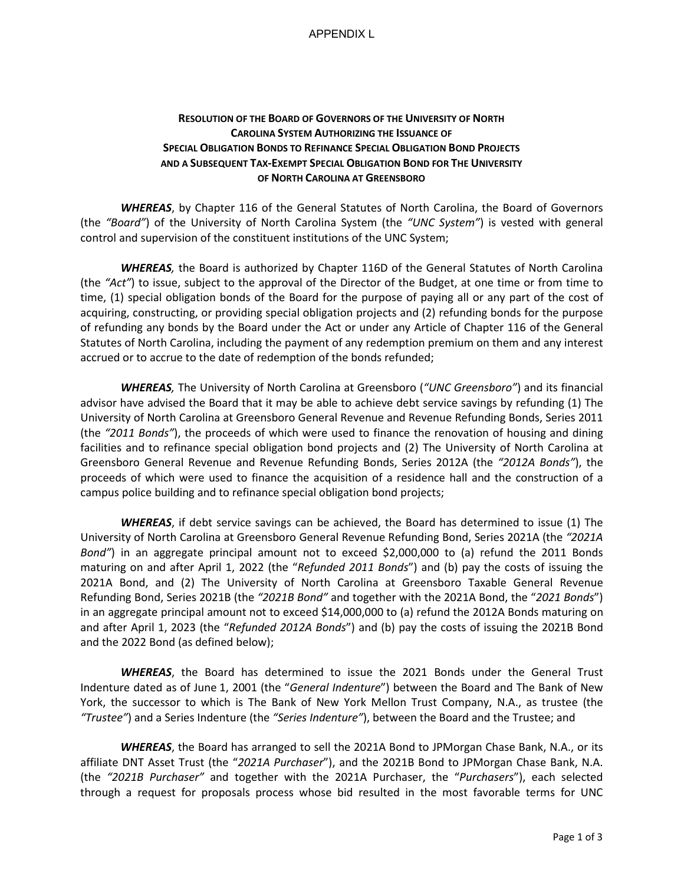#### APPENDIX L

# **RESOLUTION OF THE BOARD OF GOVERNORS OF THE UNIVERSITY OF NORTH CAROLINA SYSTEM AUTHORIZING THE ISSUANCE OF SPECIAL OBLIGATION BONDS TO REFINANCE SPECIAL OBLIGATION BOND PROJECTS AND A SUBSEQUENT TAX-EXEMPT SPECIAL OBLIGATION BOND FOR THE UNIVERSITY OF NORTH CAROLINA AT GREENSBORO**

*WHEREAS*, by Chapter 116 of the General Statutes of North Carolina, the Board of Governors (the *"Board"*) of the University of North Carolina System (the *"UNC System"*) is vested with general control and supervision of the constituent institutions of the UNC System;

*WHEREAS,* the Board is authorized by Chapter 116D of the General Statutes of North Carolina (the *"Act"*) to issue, subject to the approval of the Director of the Budget, at one time or from time to time, (1) special obligation bonds of the Board for the purpose of paying all or any part of the cost of acquiring, constructing, or providing special obligation projects and (2) refunding bonds for the purpose of refunding any bonds by the Board under the Act or under any Article of Chapter 116 of the General Statutes of North Carolina, including the payment of any redemption premium on them and any interest accrued or to accrue to the date of redemption of the bonds refunded;

*WHEREAS,* The University of North Carolina at Greensboro (*"UNC Greensboro"*) and its financial advisor have advised the Board that it may be able to achieve debt service savings by refunding (1) The University of North Carolina at Greensboro General Revenue and Revenue Refunding Bonds, Series 2011 (the *"2011 Bonds"*), the proceeds of which were used to finance the renovation of housing and dining facilities and to refinance special obligation bond projects and (2) The University of North Carolina at Greensboro General Revenue and Revenue Refunding Bonds, Series 2012A (the *"2012A Bonds"*), the proceeds of which were used to finance the acquisition of a residence hall and the construction of a campus police building and to refinance special obligation bond projects;

*WHEREAS*, if debt service savings can be achieved, the Board has determined to issue (1) The University of North Carolina at Greensboro General Revenue Refunding Bond, Series 2021A (the *"2021A Bond"*) in an aggregate principal amount not to exceed \$2,000,000 to (a) refund the 2011 Bonds maturing on and after April 1, 2022 (the "*Refunded 2011 Bonds*") and (b) pay the costs of issuing the 2021A Bond, and (2) The University of North Carolina at Greensboro Taxable General Revenue Refunding Bond, Series 2021B (the *"2021B Bond"* and together with the 2021A Bond, the "*2021 Bonds*") in an aggregate principal amount not to exceed \$14,000,000 to (a) refund the 2012A Bonds maturing on and after April 1, 2023 (the "*Refunded 2012A Bonds*") and (b) pay the costs of issuing the 2021B Bond and the 2022 Bond (as defined below);

*WHEREAS*, the Board has determined to issue the 2021 Bonds under the General Trust Indenture dated as of June 1, 2001 (the "*General Indenture*") between the Board and The Bank of New York, the successor to which is The Bank of New York Mellon Trust Company, N.A., as trustee (the *"Trustee"*) and a Series Indenture (the *"Series Indenture"*), between the Board and the Trustee; and

*WHEREAS*, the Board has arranged to sell the 2021A Bond to JPMorgan Chase Bank, N.A., or its affiliate DNT Asset Trust (the "*2021A Purchaser*"), and the 2021B Bond to JPMorgan Chase Bank, N.A. (the *"2021B Purchaser"* and together with the 2021A Purchaser, the "*Purchasers*"), each selected through a request for proposals process whose bid resulted in the most favorable terms for UNC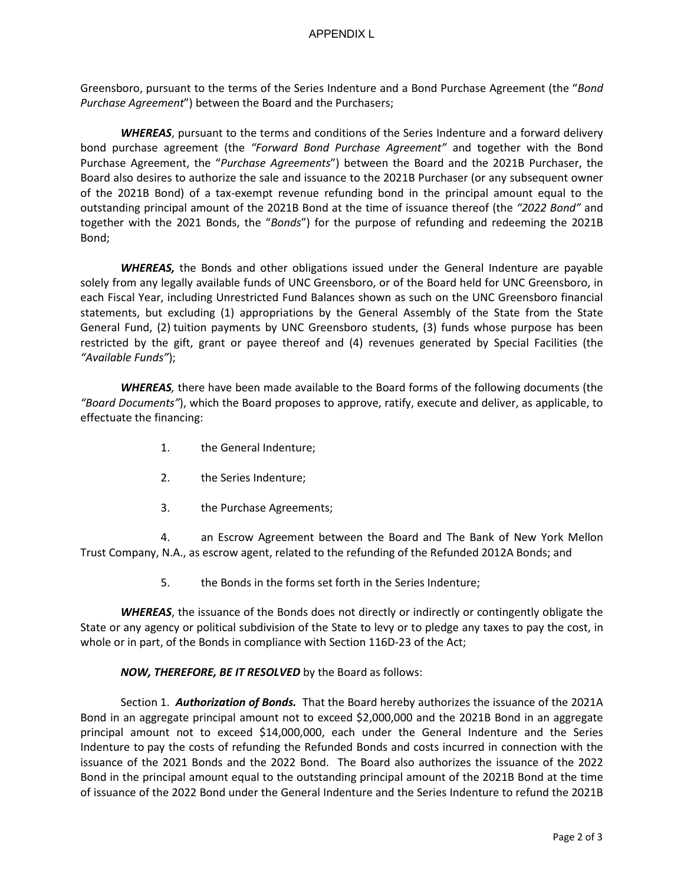Greensboro, pursuant to the terms of the Series Indenture and a Bond Purchase Agreement (the "*Bond Purchase Agreement*") between the Board and the Purchasers;

*WHEREAS*, pursuant to the terms and conditions of the Series Indenture and a forward delivery bond purchase agreement (the *"Forward Bond Purchase Agreement"* and together with the Bond Purchase Agreement, the "*Purchase Agreements*") between the Board and the 2021B Purchaser, the Board also desires to authorize the sale and issuance to the 2021B Purchaser (or any subsequent owner of the 2021B Bond) of a tax-exempt revenue refunding bond in the principal amount equal to the outstanding principal amount of the 2021B Bond at the time of issuance thereof (the *"2022 Bond"* and together with the 2021 Bonds, the "*Bonds*") for the purpose of refunding and redeeming the 2021B Bond;

*WHEREAS,* the Bonds and other obligations issued under the General Indenture are payable solely from any legally available funds of UNC Greensboro, or of the Board held for UNC Greensboro, in each Fiscal Year, including Unrestricted Fund Balances shown as such on the UNC Greensboro financial statements, but excluding (1) appropriations by the General Assembly of the State from the State General Fund, (2) tuition payments by UNC Greensboro students, (3) funds whose purpose has been restricted by the gift, grant or payee thereof and (4) revenues generated by Special Facilities (the *"Available Funds"*);

*WHEREAS,* there have been made available to the Board forms of the following documents (the *"Board Documents"*), which the Board proposes to approve, ratify, execute and deliver, as applicable, to effectuate the financing:

- 1. the General Indenture;
- 2. the Series Indenture;
- 3. the Purchase Agreements;

4. an Escrow Agreement between the Board and The Bank of New York Mellon Trust Company, N.A., as escrow agent, related to the refunding of the Refunded 2012A Bonds; and

5. the Bonds in the forms set forth in the Series Indenture;

*WHEREAS*, the issuance of the Bonds does not directly or indirectly or contingently obligate the State or any agency or political subdivision of the State to levy or to pledge any taxes to pay the cost, in whole or in part, of the Bonds in compliance with Section 116D-23 of the Act;

## *NOW, THEREFORE, BE IT RESOLVED* by the Board as follows:

Section 1. *Authorization of Bonds.* That the Board hereby authorizes the issuance of the 2021A Bond in an aggregate principal amount not to exceed \$2,000,000 and the 2021B Bond in an aggregate principal amount not to exceed \$14,000,000, each under the General Indenture and the Series Indenture to pay the costs of refunding the Refunded Bonds and costs incurred in connection with the issuance of the 2021 Bonds and the 2022 Bond. The Board also authorizes the issuance of the 2022 Bond in the principal amount equal to the outstanding principal amount of the 2021B Bond at the time of issuance of the 2022 Bond under the General Indenture and the Series Indenture to refund the 2021B